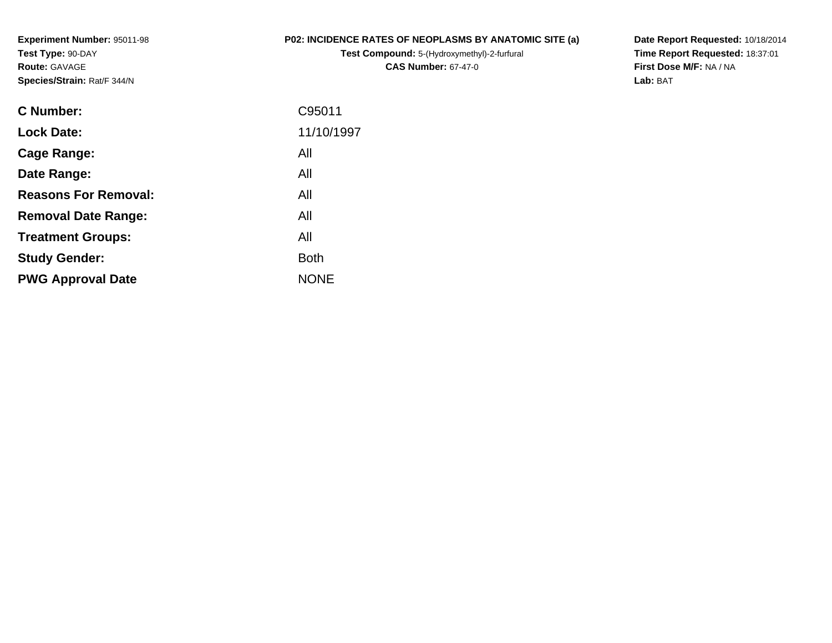**Experiment Number:** 95011-98**Test Type:** 90-DAY**Route:** GAVAGE**Species/Strain:** Rat/F 344/N

## **P02: INCIDENCE RATES OF NEOPLASMS BY ANATOMIC SITE (a)**

**Test Compound:** 5-(Hydroxymethyl)-2-furfural **CAS Number:** 67-47-0

**Date Report Requested:** 10/18/2014 **Time Report Requested:** 18:37:01**First Dose M/F:** NA / NA**Lab:** BAT

| C Number:                   | C95011      |
|-----------------------------|-------------|
| <b>Lock Date:</b>           | 11/10/1997  |
| Cage Range:                 | All         |
| Date Range:                 | All         |
| <b>Reasons For Removal:</b> | All         |
| <b>Removal Date Range:</b>  | All         |
| <b>Treatment Groups:</b>    | All         |
| <b>Study Gender:</b>        | <b>Both</b> |
| <b>PWG Approval Date</b>    | <b>NONE</b> |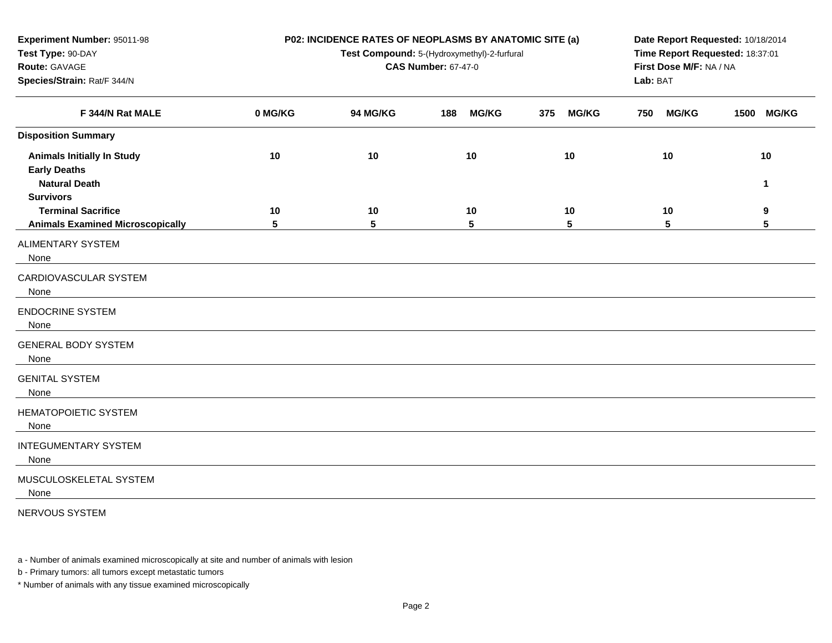| Experiment Number: 95011-98<br>Test Type: 90-DAY<br>Route: GAVAGE<br>Species/Strain: Rat/F 344/N     | P02: INCIDENCE RATES OF NEOPLASMS BY ANATOMIC SITE (a) | Date Report Requested: 10/18/2014<br>Time Report Requested: 18:37:01<br>First Dose M/F: NA / NA<br>Lab: BAT |                     |                     |                     |            |
|------------------------------------------------------------------------------------------------------|--------------------------------------------------------|-------------------------------------------------------------------------------------------------------------|---------------------|---------------------|---------------------|------------|
| F 344/N Rat MALE                                                                                     | 0 MG/KG                                                | <b>94 MG/KG</b>                                                                                             | <b>MG/KG</b><br>188 | <b>MG/KG</b><br>375 | <b>MG/KG</b><br>750 | 1500 MG/KG |
| <b>Disposition Summary</b>                                                                           |                                                        |                                                                                                             |                     |                     |                     |            |
| <b>Animals Initially In Study</b><br><b>Early Deaths</b><br><b>Natural Death</b><br><b>Survivors</b> | 10                                                     | 10                                                                                                          | 10                  | 10                  | 10                  | 10<br>1    |
| <b>Terminal Sacrifice</b>                                                                            | 10                                                     | 10                                                                                                          | 10                  | 10                  | 10                  | 9          |
| <b>Animals Examined Microscopically</b>                                                              | 5                                                      | 5                                                                                                           | 5                   | 5                   | 5                   | 5          |
| <b>ALIMENTARY SYSTEM</b><br>None                                                                     |                                                        |                                                                                                             |                     |                     |                     |            |
| CARDIOVASCULAR SYSTEM<br>None                                                                        |                                                        |                                                                                                             |                     |                     |                     |            |
| <b>ENDOCRINE SYSTEM</b><br>None                                                                      |                                                        |                                                                                                             |                     |                     |                     |            |
| <b>GENERAL BODY SYSTEM</b><br>None                                                                   |                                                        |                                                                                                             |                     |                     |                     |            |
| <b>GENITAL SYSTEM</b><br>None                                                                        |                                                        |                                                                                                             |                     |                     |                     |            |
| <b>HEMATOPOIETIC SYSTEM</b><br>None                                                                  |                                                        |                                                                                                             |                     |                     |                     |            |
| <b>INTEGUMENTARY SYSTEM</b><br>None                                                                  |                                                        |                                                                                                             |                     |                     |                     |            |
| MUSCULOSKELETAL SYSTEM<br>None                                                                       |                                                        |                                                                                                             |                     |                     |                     |            |

NERVOUS SYSTEM

a - Number of animals examined microscopically at site and number of animals with lesion

b - Primary tumors: all tumors except metastatic tumors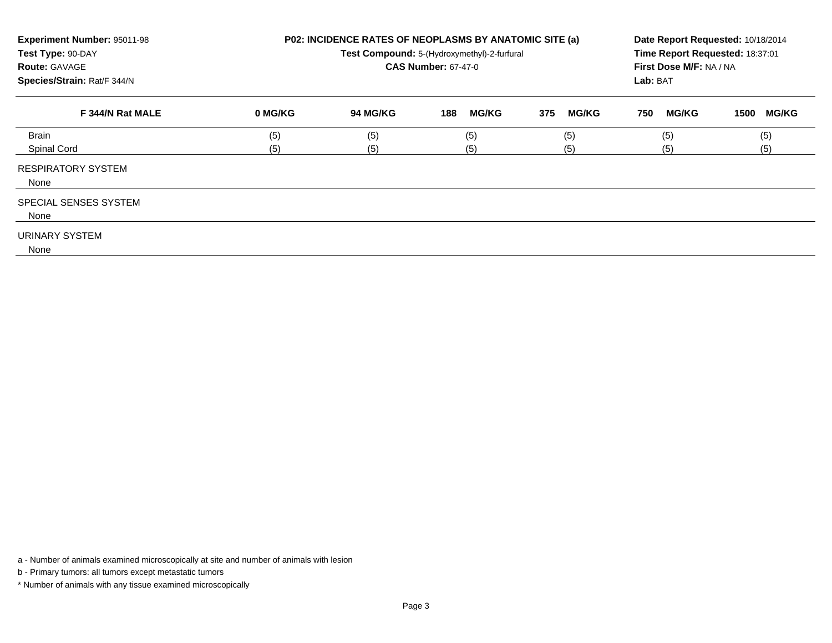| Experiment Number: 95011-98<br>Test Type: 90-DAY<br><b>Route: GAVAGE</b><br>Species/Strain: Rat/F 344/N | P02: INCIDENCE RATES OF NEOPLASMS BY ANATOMIC SITE (a)<br>Test Compound: 5-(Hydroxymethyl)-2-furfural<br><b>CAS Number: 67-47-0</b> |          |                     |     |              | Date Report Requested: 10/18/2014<br>Time Report Requested: 18:37:01<br>First Dose M/F: NA / NA<br>Lab: BAT |              |      |              |
|---------------------------------------------------------------------------------------------------------|-------------------------------------------------------------------------------------------------------------------------------------|----------|---------------------|-----|--------------|-------------------------------------------------------------------------------------------------------------|--------------|------|--------------|
| F 344/N Rat MALE                                                                                        | 0 MG/KG                                                                                                                             | 94 MG/KG | <b>MG/KG</b><br>188 | 375 | <b>MG/KG</b> | 750                                                                                                         | <b>MG/KG</b> | 1500 | <b>MG/KG</b> |
| <b>Brain</b>                                                                                            | (5)                                                                                                                                 | (5)      | (5)                 |     | (5)          |                                                                                                             | (5)          |      | (5)          |
| <b>Spinal Cord</b>                                                                                      | (5)                                                                                                                                 | (5)      | (5)                 |     | (5)          |                                                                                                             | (5)          |      | (5)          |
| <b>RESPIRATORY SYSTEM</b><br>None                                                                       |                                                                                                                                     |          |                     |     |              |                                                                                                             |              |      |              |
| SPECIAL SENSES SYSTEM<br>None                                                                           |                                                                                                                                     |          |                     |     |              |                                                                                                             |              |      |              |
| URINARY SYSTEM<br>None                                                                                  |                                                                                                                                     |          |                     |     |              |                                                                                                             |              |      |              |

a - Number of animals examined microscopically at site and number of animals with lesion

b - Primary tumors: all tumors except metastatic tumors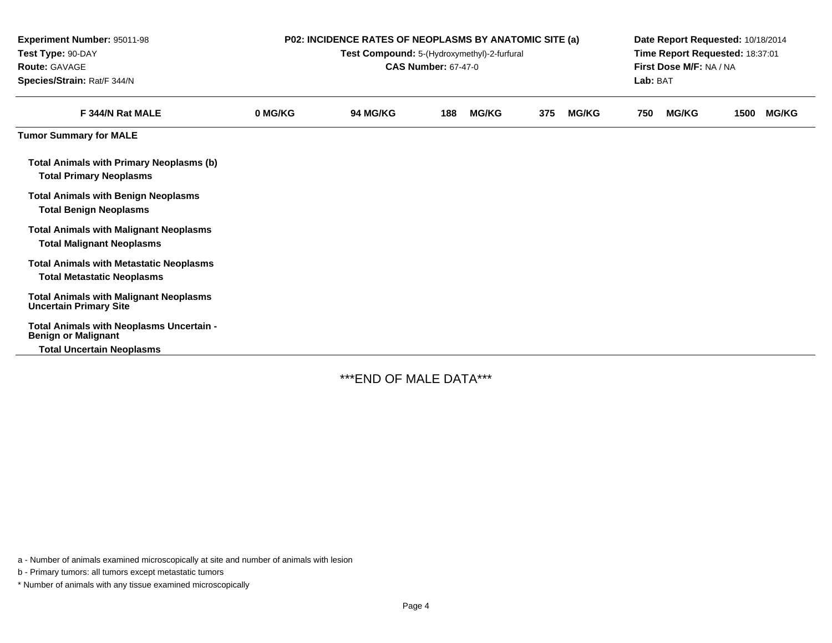| <b>Experiment Number: 95011-98</b><br>Test Type: 90-DAY<br><b>Route: GAVAGE</b><br>Species/Strain: Rat/F 344/N | <b>P02: INCIDENCE RATES OF NEOPLASMS BY ANATOMIC SITE (a)</b><br>Test Compound: 5-(Hydroxymethyl)-2-furfural<br><b>CAS Number: 67-47-0</b> |          |     |              |     |              |     | Date Report Requested: 10/18/2014<br>Time Report Requested: 18:37:01<br>First Dose M/F: NA / NA<br>Lab: BAT |      |              |  |  |
|----------------------------------------------------------------------------------------------------------------|--------------------------------------------------------------------------------------------------------------------------------------------|----------|-----|--------------|-----|--------------|-----|-------------------------------------------------------------------------------------------------------------|------|--------------|--|--|
| F 344/N Rat MALE                                                                                               | 0 MG/KG                                                                                                                                    | 94 MG/KG | 188 | <b>MG/KG</b> | 375 | <b>MG/KG</b> | 750 | <b>MG/KG</b>                                                                                                | 1500 | <b>MG/KG</b> |  |  |
| <b>Tumor Summary for MALE</b>                                                                                  |                                                                                                                                            |          |     |              |     |              |     |                                                                                                             |      |              |  |  |
| <b>Total Animals with Primary Neoplasms (b)</b><br><b>Total Primary Neoplasms</b>                              |                                                                                                                                            |          |     |              |     |              |     |                                                                                                             |      |              |  |  |
| <b>Total Animals with Benign Neoplasms</b><br><b>Total Benign Neoplasms</b>                                    |                                                                                                                                            |          |     |              |     |              |     |                                                                                                             |      |              |  |  |
| <b>Total Animals with Malignant Neoplasms</b><br><b>Total Malignant Neoplasms</b>                              |                                                                                                                                            |          |     |              |     |              |     |                                                                                                             |      |              |  |  |
| <b>Total Animals with Metastatic Neoplasms</b><br><b>Total Metastatic Neoplasms</b>                            |                                                                                                                                            |          |     |              |     |              |     |                                                                                                             |      |              |  |  |
| <b>Total Animals with Malignant Neoplasms</b><br><b>Uncertain Primary Site</b>                                 |                                                                                                                                            |          |     |              |     |              |     |                                                                                                             |      |              |  |  |
| Total Animals with Neoplasms Uncertain -<br><b>Benign or Malignant</b><br><b>Total Uncertain Neoplasms</b>     |                                                                                                                                            |          |     |              |     |              |     |                                                                                                             |      |              |  |  |

\*\*\*END OF MALE DATA\*\*\*

a - Number of animals examined microscopically at site and number of animals with lesion

b - Primary tumors: all tumors except metastatic tumors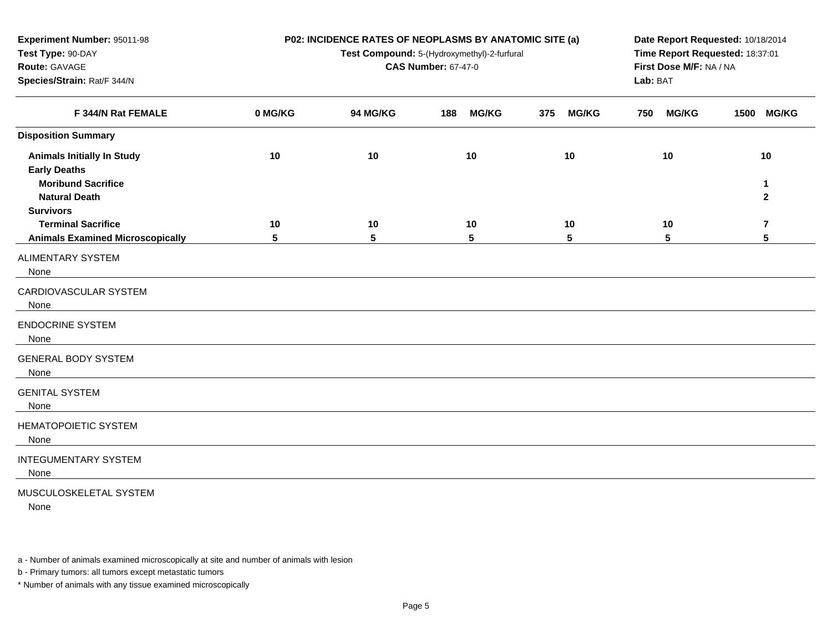| Experiment Number: 95011-98<br>Test Type: 90-DAY<br>Route: GAVAGE<br>Species/Strain: Rat/F 344/N                                  | P02: INCIDENCE RATES OF NEOPLASMS BY ANATOMIC SITE (a) | Date Report Requested: 10/18/2014<br>Time Report Requested: 18:37:01<br>First Dose M/F: NA / NA<br>Lab: BAT |                     |                     |                     |                                      |
|-----------------------------------------------------------------------------------------------------------------------------------|--------------------------------------------------------|-------------------------------------------------------------------------------------------------------------|---------------------|---------------------|---------------------|--------------------------------------|
| F 344/N Rat FEMALE                                                                                                                | 0 MG/KG                                                | 94 MG/KG                                                                                                    | <b>MG/KG</b><br>188 | <b>MG/KG</b><br>375 | <b>MG/KG</b><br>750 | 1500<br><b>MG/KG</b>                 |
| <b>Disposition Summary</b>                                                                                                        |                                                        |                                                                                                             |                     |                     |                     |                                      |
| <b>Animals Initially In Study</b><br><b>Early Deaths</b><br><b>Moribund Sacrifice</b><br><b>Natural Death</b><br><b>Survivors</b> | 10                                                     | 10                                                                                                          | 10                  | 10                  | 10                  | 10<br>$\mathbf{1}$<br>$\overline{2}$ |
| <b>Terminal Sacrifice</b>                                                                                                         | 10                                                     | 10                                                                                                          | 10                  | 10                  | 10                  | 7                                    |
| <b>Animals Examined Microscopically</b><br><b>ALIMENTARY SYSTEM</b><br>None                                                       | 5                                                      | $5\phantom{.0}$                                                                                             | 5                   | 5                   | 5                   | 5                                    |
| CARDIOVASCULAR SYSTEM<br>None                                                                                                     |                                                        |                                                                                                             |                     |                     |                     |                                      |
| <b>ENDOCRINE SYSTEM</b><br>None                                                                                                   |                                                        |                                                                                                             |                     |                     |                     |                                      |
| <b>GENERAL BODY SYSTEM</b><br>None                                                                                                |                                                        |                                                                                                             |                     |                     |                     |                                      |
| <b>GENITAL SYSTEM</b><br>None                                                                                                     |                                                        |                                                                                                             |                     |                     |                     |                                      |
| <b>HEMATOPOIETIC SYSTEM</b><br>None                                                                                               |                                                        |                                                                                                             |                     |                     |                     |                                      |
| <b>INTEGUMENTARY SYSTEM</b><br>None                                                                                               |                                                        |                                                                                                             |                     |                     |                     |                                      |
| MUSCULOSKELETAL SYSTEM                                                                                                            |                                                        |                                                                                                             |                     |                     |                     |                                      |

None

a - Number of animals examined microscopically at site and number of animals with lesion

b - Primary tumors: all tumors except metastatic tumors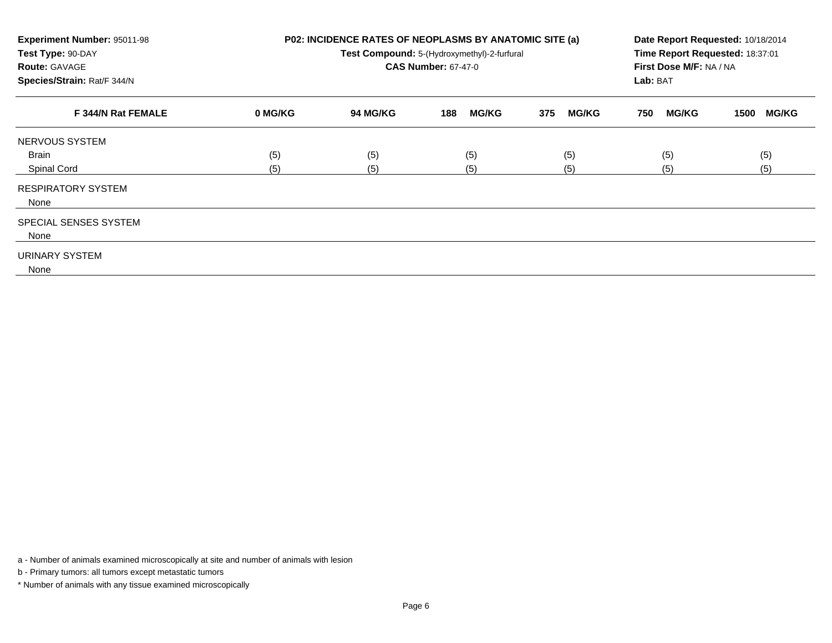| Experiment Number: 95011-98<br>Test Type: 90-DAY<br><b>Route: GAVAGE</b><br>Species/Strain: Rat/F 344/N | P02: INCIDENCE RATES OF NEOPLASMS BY ANATOMIC SITE (a)<br>Test Compound: 5-(Hydroxymethyl)-2-furfural<br><b>CAS Number: 67-47-0</b> |          |                     |                     |                     | Date Report Requested: 10/18/2014<br>Time Report Requested: 18:37:01<br>First Dose M/F: NA / NA |
|---------------------------------------------------------------------------------------------------------|-------------------------------------------------------------------------------------------------------------------------------------|----------|---------------------|---------------------|---------------------|-------------------------------------------------------------------------------------------------|
| F 344/N Rat FEMALE                                                                                      | 0 MG/KG                                                                                                                             | 94 MG/KG | 188<br><b>MG/KG</b> | <b>MG/KG</b><br>375 | <b>MG/KG</b><br>750 | <b>MG/KG</b><br>1500                                                                            |
| NERVOUS SYSTEM                                                                                          |                                                                                                                                     |          |                     |                     |                     |                                                                                                 |
| <b>Brain</b>                                                                                            | (5)                                                                                                                                 | (5)      | (5)                 | (5)                 | (5)                 | (5)                                                                                             |
| <b>Spinal Cord</b>                                                                                      | (5)                                                                                                                                 | (5)      | (5)                 | (5)                 | (5)                 | (5)                                                                                             |
| <b>RESPIRATORY SYSTEM</b><br>None                                                                       |                                                                                                                                     |          |                     |                     |                     |                                                                                                 |
| SPECIAL SENSES SYSTEM<br>None                                                                           |                                                                                                                                     |          |                     |                     |                     |                                                                                                 |
| URINARY SYSTEM<br>None                                                                                  |                                                                                                                                     |          |                     |                     |                     |                                                                                                 |

a - Number of animals examined microscopically at site and number of animals with lesion

b - Primary tumors: all tumors except metastatic tumors